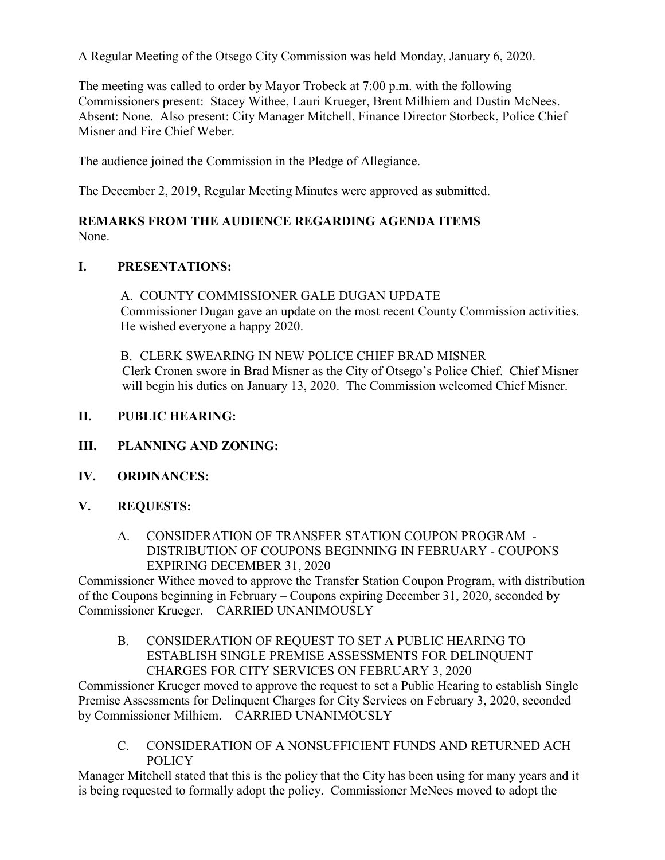A Regular Meeting of the Otsego City Commission was held Monday, January 6, 2020.

The meeting was called to order by Mayor Trobeck at 7:00 p.m. with the following Commissioners present: Stacey Withee, Lauri Krueger, Brent Milhiem and Dustin McNees. Absent: None. Also present: City Manager Mitchell, Finance Director Storbeck, Police Chief Misner and Fire Chief Weber.

The audience joined the Commission in the Pledge of Allegiance.

The December 2, 2019, Regular Meeting Minutes were approved as submitted.

## **REMARKS FROM THE AUDIENCE REGARDING AGENDA ITEMS** None.

# **I. PRESENTATIONS:**

A. COUNTY COMMISSIONER GALE DUGAN UPDATE Commissioner Dugan gave an update on the most recent County Commission activities. He wished everyone a happy 2020.

B. CLERK SWEARING IN NEW POLICE CHIEF BRAD MISNER Clerk Cronen swore in Brad Misner as the City of Otsego's Police Chief. Chief Misner will begin his duties on January 13, 2020. The Commission welcomed Chief Misner.

- **II. PUBLIC HEARING:**
- **III. PLANNING AND ZONING:**
- **IV. ORDINANCES:**
- **V. REQUESTS:**
	- A. CONSIDERATION OF TRANSFER STATION COUPON PROGRAM DISTRIBUTION OF COUPONS BEGINNING IN FEBRUARY - COUPONS EXPIRING DECEMBER 31, 2020

Commissioner Withee moved to approve the Transfer Station Coupon Program, with distribution of the Coupons beginning in February – Coupons expiring December 31, 2020, seconded by Commissioner Krueger. CARRIED UNANIMOUSLY

B. CONSIDERATION OF REQUEST TO SET A PUBLIC HEARING TO ESTABLISH SINGLE PREMISE ASSESSMENTS FOR DELINQUENT CHARGES FOR CITY SERVICES ON FEBRUARY 3, 2020

Commissioner Krueger moved to approve the request to set a Public Hearing to establish Single Premise Assessments for Delinquent Charges for City Services on February 3, 2020, seconded by Commissioner Milhiem. CARRIED UNANIMOUSLY

C. CONSIDERATION OF A NONSUFFICIENT FUNDS AND RETURNED ACH **POLICY** 

Manager Mitchell stated that this is the policy that the City has been using for many years and it is being requested to formally adopt the policy. Commissioner McNees moved to adopt the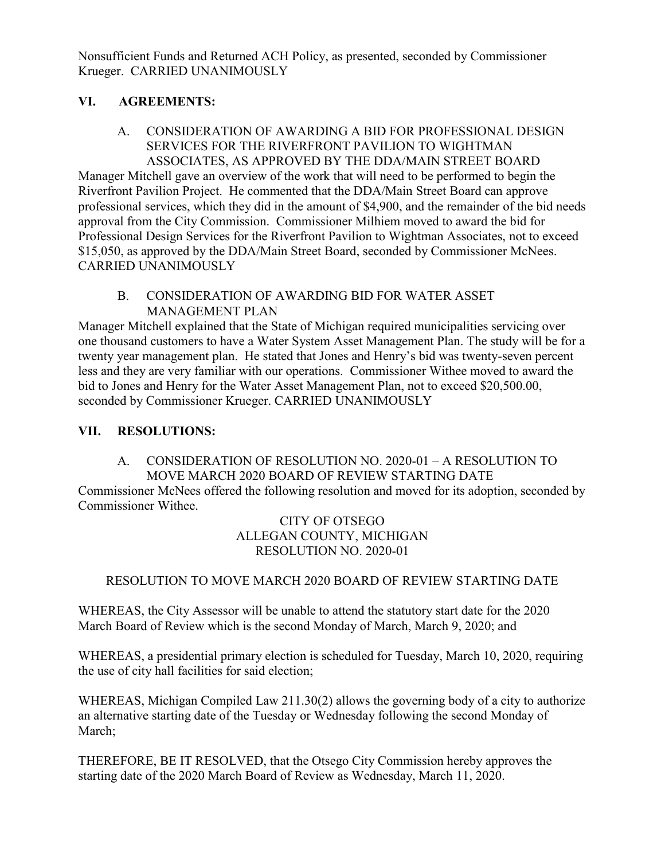Nonsufficient Funds and Returned ACH Policy, as presented, seconded by Commissioner Krueger. CARRIED UNANIMOUSLY

# **VI. AGREEMENTS:**

## A. CONSIDERATION OF AWARDING A BID FOR PROFESSIONAL DESIGN SERVICES FOR THE RIVERFRONT PAVILION TO WIGHTMAN ASSOCIATES, AS APPROVED BY THE DDA/MAIN STREET BOARD

Manager Mitchell gave an overview of the work that will need to be performed to begin the Riverfront Pavilion Project. He commented that the DDA/Main Street Board can approve professional services, which they did in the amount of \$4,900, and the remainder of the bid needs approval from the City Commission. Commissioner Milhiem moved to award the bid for Professional Design Services for the Riverfront Pavilion to Wightman Associates, not to exceed \$15,050, as approved by the DDA/Main Street Board, seconded by Commissioner McNees. CARRIED UNANIMOUSLY

## B. CONSIDERATION OF AWARDING BID FOR WATER ASSET MANAGEMENT PLAN

Manager Mitchell explained that the State of Michigan required municipalities servicing over one thousand customers to have a Water System Asset Management Plan. The study will be for a twenty year management plan. He stated that Jones and Henry's bid was twenty-seven percent less and they are very familiar with our operations. Commissioner Withee moved to award the bid to Jones and Henry for the Water Asset Management Plan, not to exceed \$20,500.00, seconded by Commissioner Krueger. CARRIED UNANIMOUSLY

## **VII. RESOLUTIONS:**

#### A. CONSIDERATION OF RESOLUTION NO. 2020-01 – A RESOLUTION TO MOVE MARCH 2020 BOARD OF REVIEW STARTING DATE

Commissioner McNees offered the following resolution and moved for its adoption, seconded by Commissioner Withee.

#### CITY OF OTSEGO ALLEGAN COUNTY, MICHIGAN RESOLUTION NO. 2020-01

## RESOLUTION TO MOVE MARCH 2020 BOARD OF REVIEW STARTING DATE

WHEREAS, the City Assessor will be unable to attend the statutory start date for the 2020 March Board of Review which is the second Monday of March, March 9, 2020; and

WHEREAS, a presidential primary election is scheduled for Tuesday, March 10, 2020, requiring the use of city hall facilities for said election;

WHEREAS, Michigan Compiled Law 211.30(2) allows the governing body of a city to authorize an alternative starting date of the Tuesday or Wednesday following the second Monday of March;

THEREFORE, BE IT RESOLVED, that the Otsego City Commission hereby approves the starting date of the 2020 March Board of Review as Wednesday, March 11, 2020.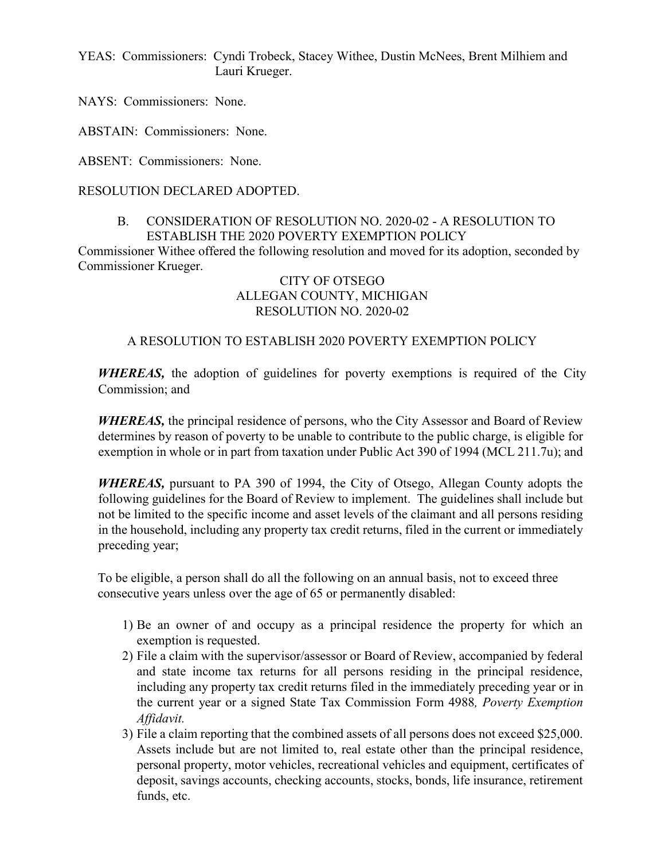YEAS: Commissioners: Cyndi Trobeck, Stacey Withee, Dustin McNees, Brent Milhiem and Lauri Krueger.

NAYS: Commissioners: None.

ABSTAIN: Commissioners: None.

ABSENT: Commissioners: None.

#### RESOLUTION DECLARED ADOPTED.

#### B. CONSIDERATION OF RESOLUTION NO. 2020-02 - A RESOLUTION TO ESTABLISH THE 2020 POVERTY EXEMPTION POLICY

Commissioner Withee offered the following resolution and moved for its adoption, seconded by Commissioner Krueger.

## CITY OF OTSEGO ALLEGAN COUNTY, MICHIGAN RESOLUTION NO. 2020-02

#### A RESOLUTION TO ESTABLISH 2020 POVERTY EXEMPTION POLICY

*WHEREAS,* the adoption of guidelines for poverty exemptions is required of the City Commission; and

*WHEREAS,* the principal residence of persons, who the City Assessor and Board of Review determines by reason of poverty to be unable to contribute to the public charge, is eligible for exemption in whole or in part from taxation under Public Act 390 of 1994 (MCL 211.7u); and

*WHEREAS,* pursuant to PA 390 of 1994, the City of Otsego, Allegan County adopts the following guidelines for the Board of Review to implement. The guidelines shall include but not be limited to the specific income and asset levels of the claimant and all persons residing in the household, including any property tax credit returns, filed in the current or immediately preceding year;

To be eligible, a person shall do all the following on an annual basis, not to exceed three consecutive years unless over the age of 65 or permanently disabled:

- 1) Be an owner of and occupy as a principal residence the property for which an exemption is requested.
- 2) File a claim with the supervisor/assessor or Board of Review, accompanied by federal and state income tax returns for all persons residing in the principal residence, including any property tax credit returns filed in the immediately preceding year or in the current year or a signed State Tax Commission Form 4988*, Poverty Exemption Affidavit.*
- 3) File a claim reporting that the combined assets of all persons does not exceed \$25,000. Assets include but are not limited to, real estate other than the principal residence, personal property, motor vehicles, recreational vehicles and equipment, certificates of deposit, savings accounts, checking accounts, stocks, bonds, life insurance, retirement funds, etc.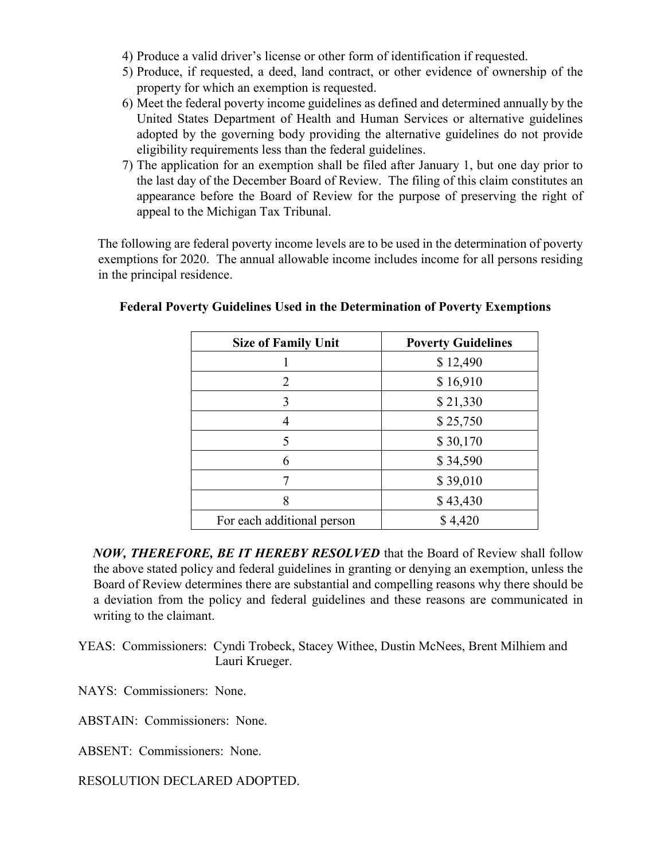- 4) Produce a valid driver's license or other form of identification if requested.
- 5) Produce, if requested, a deed, land contract, or other evidence of ownership of the property for which an exemption is requested.
- 6) Meet the federal poverty income guidelines as defined and determined annually by the United States Department of Health and Human Services or alternative guidelines adopted by the governing body providing the alternative guidelines do not provide eligibility requirements less than the federal guidelines.
- 7) The application for an exemption shall be filed after January 1, but one day prior to the last day of the December Board of Review. The filing of this claim constitutes an appearance before the Board of Review for the purpose of preserving the right of appeal to the Michigan Tax Tribunal.

The following are federal poverty income levels are to be used in the determination of poverty exemptions for 2020. The annual allowable income includes income for all persons residing in the principal residence.

| <b>Size of Family Unit</b> | <b>Poverty Guidelines</b> |
|----------------------------|---------------------------|
|                            | \$12,490                  |
| 2                          | \$16,910                  |
| 3                          | \$21,330                  |
| 4                          | \$25,750                  |
| 5                          | \$30,170                  |
| 6                          | \$34,590                  |
|                            | \$39,010                  |
| 8                          | \$43,430                  |
| For each additional person | \$4,420                   |

## **Federal Poverty Guidelines Used in the Determination of Poverty Exemptions**

*NOW, THEREFORE, BE IT HEREBY RESOLVED* that the Board of Review shall follow the above stated policy and federal guidelines in granting or denying an exemption, unless the Board of Review determines there are substantial and compelling reasons why there should be a deviation from the policy and federal guidelines and these reasons are communicated in writing to the claimant.

YEAS: Commissioners: Cyndi Trobeck, Stacey Withee, Dustin McNees, Brent Milhiem and Lauri Krueger.

NAYS: Commissioners: None.

ABSTAIN: Commissioners: None.

ABSENT: Commissioners: None.

RESOLUTION DECLARED ADOPTED.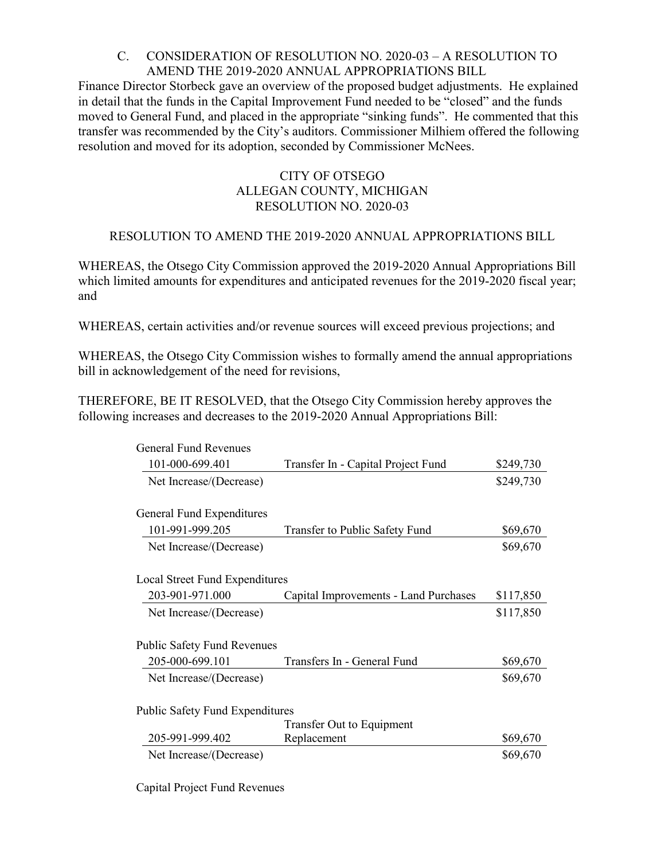## C. CONSIDERATION OF RESOLUTION NO. 2020-03 – A RESOLUTION TO AMEND THE 2019-2020 ANNUAL APPROPRIATIONS BILL

Finance Director Storbeck gave an overview of the proposed budget adjustments. He explained in detail that the funds in the Capital Improvement Fund needed to be "closed" and the funds moved to General Fund, and placed in the appropriate "sinking funds". He commented that this transfer was recommended by the City's auditors. Commissioner Milhiem offered the following resolution and moved for its adoption, seconded by Commissioner McNees.

#### CITY OF OTSEGO ALLEGAN COUNTY, MICHIGAN RESOLUTION NO. 2020-03

# RESOLUTION TO AMEND THE 2019-2020 ANNUAL APPROPRIATIONS BILL

WHEREAS, the Otsego City Commission approved the 2019-2020 Annual Appropriations Bill which limited amounts for expenditures and anticipated revenues for the 2019-2020 fiscal year; and

WHEREAS, certain activities and/or revenue sources will exceed previous projections; and

WHEREAS, the Otsego City Commission wishes to formally amend the annual appropriations bill in acknowledgement of the need for revisions,

THEREFORE, BE IT RESOLVED, that the Otsego City Commission hereby approves the following increases and decreases to the 2019-2020 Annual Appropriations Bill:

| <b>General Fund Revenues</b>           |                                       |           |
|----------------------------------------|---------------------------------------|-----------|
| 101-000-699.401                        | Transfer In - Capital Project Fund    | \$249,730 |
| Net Increase/(Decrease)                |                                       | \$249,730 |
| General Fund Expenditures              |                                       |           |
| 101-991-999.205                        | Transfer to Public Safety Fund        | \$69,670  |
| Net Increase/(Decrease)                |                                       | \$69,670  |
| Local Street Fund Expenditures         |                                       |           |
| 203-901-971.000                        | Capital Improvements - Land Purchases | \$117,850 |
| Net Increase/(Decrease)                |                                       | \$117,850 |
| <b>Public Safety Fund Revenues</b>     |                                       |           |
| 205-000-699.101                        | Transfers In - General Fund           | \$69,670  |
| Net Increase/(Decrease)                |                                       | \$69,670  |
| <b>Public Safety Fund Expenditures</b> |                                       |           |
|                                        | Transfer Out to Equipment             |           |
| 205-991-999.402                        | Replacement                           | \$69,670  |
| Net Increase/(Decrease)                |                                       | \$69,670  |

Capital Project Fund Revenues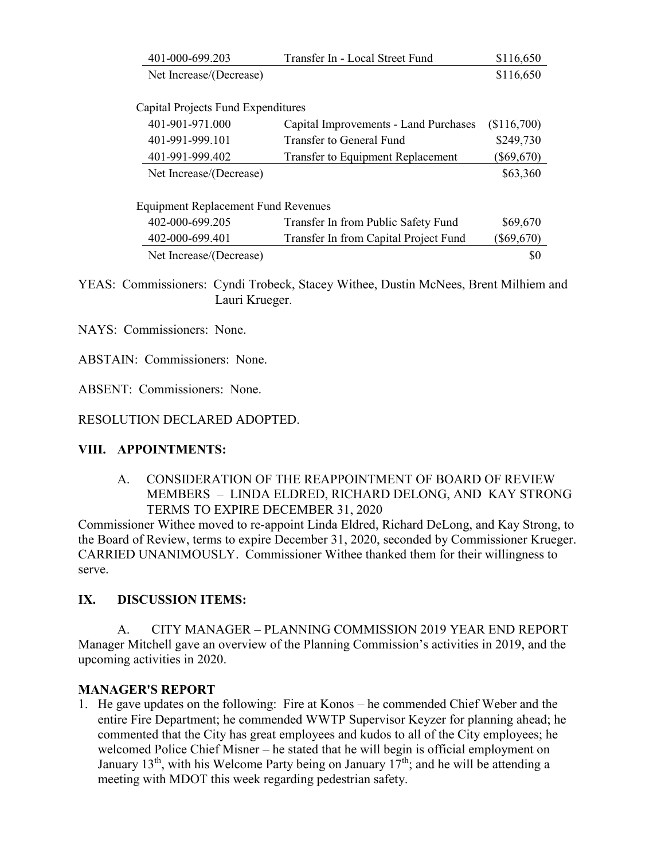|                                            | 401-000-699.203         | Transfer In - Local Street Fund          | \$116,650    |  |
|--------------------------------------------|-------------------------|------------------------------------------|--------------|--|
|                                            | Net Increase/(Decrease) |                                          | \$116,650    |  |
|                                            |                         |                                          |              |  |
| Capital Projects Fund Expenditures         |                         |                                          |              |  |
|                                            | 401-901-971.000         | Capital Improvements - Land Purchases    | (\$116,700)  |  |
|                                            | 401-991-999.101         | Transfer to General Fund                 | \$249,730    |  |
|                                            | 401-991-999.402         | <b>Transfer to Equipment Replacement</b> | $(\$69,670)$ |  |
|                                            | Net Increase/(Decrease) |                                          | \$63,360     |  |
|                                            |                         |                                          |              |  |
| <b>Equipment Replacement Fund Revenues</b> |                         |                                          |              |  |
|                                            | 402-000-699.205         | Transfer In from Public Safety Fund      | \$69,670     |  |
|                                            | 402-000-699.401         | Transfer In from Capital Project Fund    | $(\$69,670)$ |  |
|                                            | Net Increase/(Decrease) |                                          | \$0          |  |

YEAS: Commissioners: Cyndi Trobeck, Stacey Withee, Dustin McNees, Brent Milhiem and Lauri Krueger.

NAYS: Commissioners: None.

ABSTAIN: Commissioners: None.

ABSENT: Commissioners: None.

RESOLUTION DECLARED ADOPTED.

## **VIII. APPOINTMENTS:**

A. CONSIDERATION OF THE REAPPOINTMENT OF BOARD OF REVIEW MEMBERS – LINDA ELDRED, RICHARD DELONG, AND KAY STRONG TERMS TO EXPIRE DECEMBER 31, 2020

Commissioner Withee moved to re-appoint Linda Eldred, Richard DeLong, and Kay Strong, to the Board of Review, terms to expire December 31, 2020, seconded by Commissioner Krueger. CARRIED UNANIMOUSLY. Commissioner Withee thanked them for their willingness to serve.

## **IX. DISCUSSION ITEMS:**

A. CITY MANAGER – PLANNING COMMISSION 2019 YEAR END REPORT Manager Mitchell gave an overview of the Planning Commission's activities in 2019, and the upcoming activities in 2020.

## **MANAGER'S REPORT**

1. He gave updates on the following: Fire at Konos – he commended Chief Weber and the entire Fire Department; he commended WWTP Supervisor Keyzer for planning ahead; he commented that the City has great employees and kudos to all of the City employees; he welcomed Police Chief Misner – he stated that he will begin is official employment on January 13<sup>th</sup>, with his Welcome Party being on January  $17<sup>th</sup>$ ; and he will be attending a meeting with MDOT this week regarding pedestrian safety.